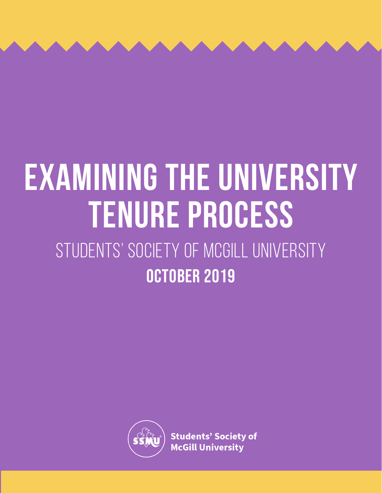# October 2019 **Examining the University Tenure Process** STUDENTS' SOCIETY OF MCGILL UNIVERSITY



**Students' Society of McGill University**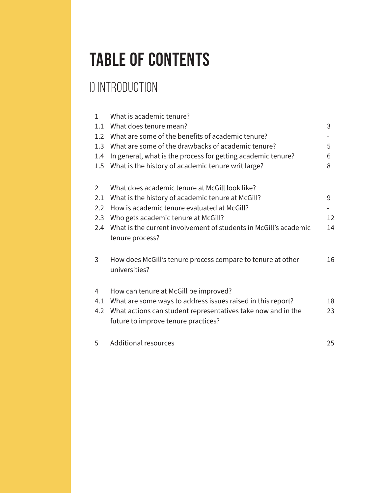### TABLE OF CONTENTS

### i) INTRODUCTION

| $\mathbf{1}$  | What is academic tenure?                                                                            |    |
|---------------|-----------------------------------------------------------------------------------------------------|----|
| 1.1           | What does tenure mean?                                                                              | 3  |
| 1.2           | What are some of the benefits of academic tenure?                                                   |    |
| 1.3           | What are some of the drawbacks of academic tenure?                                                  | 5  |
| 1.4           | In general, what is the process for getting academic tenure?                                        | 6  |
| 1.5           | What is the history of academic tenure writ large?                                                  | 8  |
|               |                                                                                                     |    |
| 2             | What does academic tenure at McGill look like?                                                      |    |
| 2.1           | What is the history of academic tenure at McGill?                                                   | 9  |
| $2.2^{\circ}$ | How is academic tenure evaluated at McGill?                                                         |    |
| 2.3           | Who gets academic tenure at McGill?                                                                 | 12 |
| 2.4           | What is the current involvement of students in McGill's academic<br>tenure process?                 | 14 |
| 3             | How does McGill's tenure process compare to tenure at other<br>universities?                        | 16 |
|               |                                                                                                     |    |
| 4             | How can tenure at McGill be improved?                                                               |    |
| 4.1           | What are some ways to address issues raised in this report?                                         | 18 |
| 4.2           | What actions can student representatives take now and in the<br>future to improve tenure practices? | 23 |
| 5             | <b>Additional resources</b>                                                                         | 25 |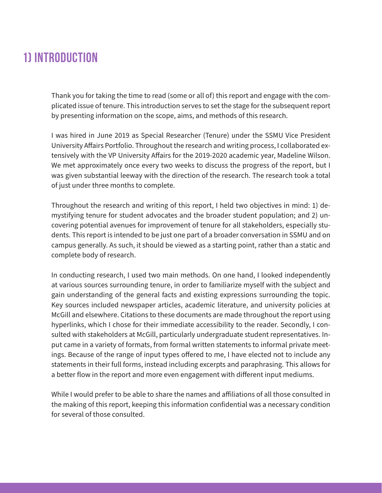#### **1) INTRODUCTION**

Thank you for taking the time to read (some or all of) this report and engage with the complicated issue of tenure. This introduction serves to set the stage for the subsequent report by presenting information on the scope, aims, and methods of this research.

I was hired in June 2019 as Special Researcher (Tenure) under the SSMU Vice President University Affairs Portfolio. Throughout the research and writing process, I collaborated extensively with the VP University Affairs for the 2019-2020 academic year, Madeline Wilson. We met approximately once every two weeks to discuss the progress of the report, but I was given substantial leeway with the direction of the research. The research took a total of just under three months to complete.

Throughout the research and writing of this report, I held two objectives in mind: 1) demystifying tenure for student advocates and the broader student population; and 2) uncovering potential avenues for improvement of tenure for all stakeholders, especially students. This report is intended to be just one part of a broader conversation in SSMU and on campus generally. As such, it should be viewed as a starting point, rather than a static and complete body of research.

In conducting research, I used two main methods. On one hand, I looked independently at various sources surrounding tenure, in order to familiarize myself with the subject and gain understanding of the general facts and existing expressions surrounding the topic. Key sources included newspaper articles, academic literature, and university policies at McGill and elsewhere. Citations to these documents are made throughout the report using hyperlinks, which I chose for their immediate accessibility to the reader. Secondly, I consulted with stakeholders at McGill, particularly undergraduate student representatives. Input came in a variety of formats, from formal written statements to informal private meetings. Because of the range of input types offered to me, I have elected not to include any statements in their full forms, instead including excerpts and paraphrasing. This allows for a better flow in the report and more even engagement with different input mediums.

While I would prefer to be able to share the names and affiliations of all those consulted in the making of this report, keeping this information confidential was a necessary condition for several of those consulted.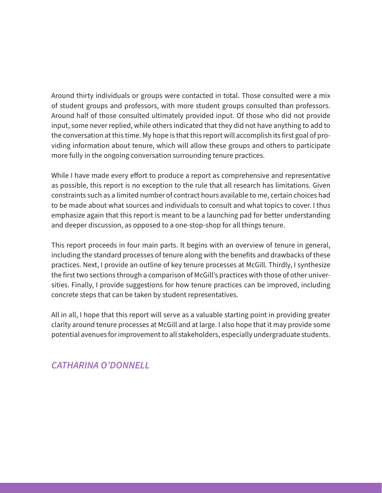Around thirty individuals or groups were contacted in total. Those consulted were a mix of student groups and professors, with more student groups consulted than professors. Around half of those consulted ultimately provided input. Of those who did not provide input, some never replied, while others indicated that they did not have anything to add to the conversation at this time. My hope is that this report will accomplish its first goal of providing information about tenure, which will allow these groups and others to participate more fully in the ongoing conversation surrounding tenure practices.

While I have made every effort to produce a report as comprehensive and representative as possible, this report is no exception to the rule that all research has limitations. Given constraints such as a limited number of contract hours available to me, certain choices had to be made about what sources and individuals to consult and what topics to cover. I thus emphasize again that this report is meant to be a launching pad for better understanding and deeper discussion, as opposed to a one-stop-shop for all things tenure.

This report proceeds in four main parts. It begins with an overview of tenure in general, including the standard processes of tenure along with the benefits and drawbacks of these practices. Next, I provide an outline of key tenure processes at McGill. Thirdly, I synthesize the first two sections through a comparison of McGill's practices with those of other universities. Finally, I provide suggestions for how tenure practices can be improved, including concrete steps that can be taken by student representatives.

All in all, I hope that this report will serve as a valuable starting point in providing greater clarity around tenure processes at McGill and at large. I also hope that it may provide some potential avenues for improvement to all stakeholders, especially undergraduate students.

#### *CATHARINA O'DONNELL*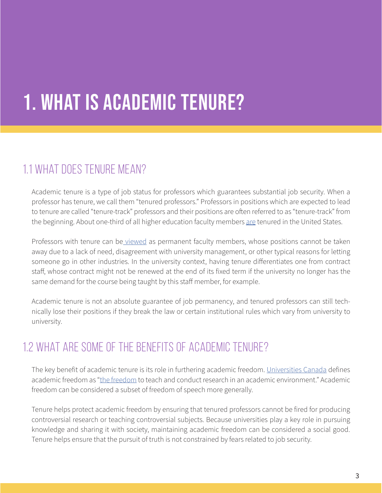# 1. what is academic tenure?

### 1.1 What does tenure mean?

Academic tenure is a type of job status for professors which guarantees substantial job security. When a professor has tenure, we call them "tenured professors." Professors in positions which are expected to lead to tenure are called "tenure-track" professors and their positions are often referred to as "tenure-track" from the beginning. About one-third of all higher education faculty members [are](https://diversityinhighereducation.com/articles/The-Truth-About-Tenure-in-Higher-Education) tenured in the United States.

Professors with tenure can b[e viewed](https://carleton.ca/communityfirst/2017/5-things-know-tenure-canada-carleton/) as permanent faculty members, whose positions cannot be taken away due to a lack of need, disagreement with university management, or other typical reasons for letting someone go in other industries. In the university context, having tenure differentiates one from contract staff, whose contract might not be renewed at the end of its fixed term if the university no longer has the same demand for the course being taught by this staff member, for example.

Academic tenure is not an absolute guarantee of job permanency, and tenured professors can still technically lose their positions if they break the law or certain institutional rules which vary from university to university.

#### 1.2 What are some of the benefits of academic tenure?

The key benefit of academic tenure is its role in furthering academic freedom. [Universities Canada](https://www.univcan.ca/) defines academic freedom as ["the freedom](https://www.univcan.ca/media-room/media-releases/statement-on-academic-freedom/) to teach and conduct research in an academic environment." Academic freedom can be considered a subset of freedom of speech more generally.

Tenure helps protect academic freedom by ensuring that tenured professors cannot be fired for producing controversial research or teaching controversial subjects. Because universities play a key role in pursuing knowledge and sharing it with society, maintaining academic freedom can be considered a social good. Tenure helps ensure that the pursuit of truth is not constrained by fears related to job security.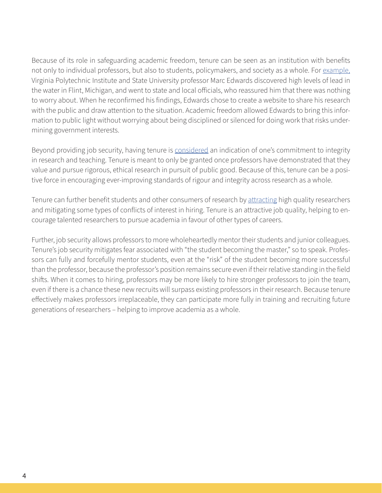Because of its role in safeguarding academic freedom, tenure can be seen as an institution with benefits not only to individual professors, but also to students, policymakers, and society as a whole. For [example,](https://www.aaup.org/issues/tenure) Virginia Polytechnic Institute and State University professor Marc Edwards discovered high levels of lead in the water in Flint, Michigan, and went to state and local officials, who reassured him that there was nothing to worry about. When he reconfirmed his findings, Edwards chose to create a website to share his research with the public and draw attention to the situation. Academic freedom allowed Edwards to bring this information to public light without worrying about being disciplined or silenced for doing work that risks undermining government interests.

Beyond providing job security, having tenure is [considered](https://www.cc.gatech.edu/grads/p/Jon.Preston/3020/proj-advdis.html) an indication of one's commitment to integrity in research and teaching. Tenure is meant to only be granted once professors have demonstrated that they value and pursue rigorous, ethical research in pursuit of public good. Because of this, tenure can be a positive force in encouraging ever-improving standards of rigour and integrity across research as a whole.

Tenure can further benefit students and other consumers of research by [attracting](https://www.cc.gatech.edu/grads/p/Jon.Preston/3020/proj-advdis.html) high quality researchers and mitigating some types of conflicts of interest in hiring. Tenure is an attractive job quality, helping to encourage talented researchers to pursue academia in favour of other types of careers.

Further, job security allows professors to more wholeheartedly mentor their students and junior colleagues. Tenure's job security mitigates fear associated with "the student becoming the master," so to speak. Professors can fully and forcefully mentor students, even at the "risk" of the student becoming more successful than the professor, because the professor's position remains secure even if their relative standing in the field shifts. When it comes to hiring, professors may be more likely to hire stronger professors to join the team, even if there is a chance these new recruits will surpass existing professors in their research. Because tenure effectively makes professors irreplaceable, they can participate more fully in training and recruiting future generations of researchers – helping to improve academia as a whole.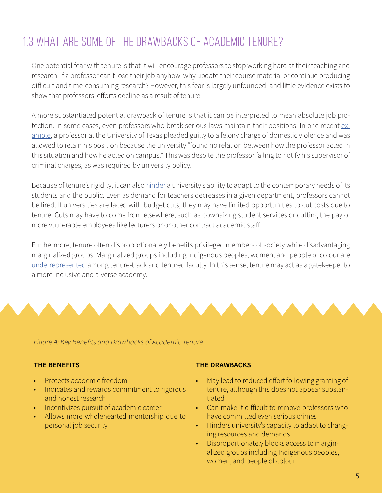### 1.3 What are some of the drawbacks of academic tenure?

One potential fear with tenure is that it will encourage professors to stop working hard at their teaching and research. If a professor can't lose their job anyhow, why update their course material or continue producing difficult and time-consuming research? However, this fear is largely unfounded, and little evidence exists to show that professors' efforts decline as a result of tenure.

A more substantiated potential drawback of tenure is that it can be interpreted to mean absolute job protection. In some cases, even professors who break serious laws maintain their positions. In one recent [ex](https://www.statesman.com/NEWS/20180125/UT-declined-to-sanction-professor-who-pleaded-guilty-to-violent-felony)[ample](https://www.statesman.com/NEWS/20180125/UT-declined-to-sanction-professor-who-pleaded-guilty-to-violent-felony), a professor at the University of Texas pleaded guilty to a felony charge of domestic violence and was allowed to retain his position because the university "found no relation between how the professor acted in this situation and how he acted on campus." This was despite the professor failing to notify his supervisor of criminal charges, as was required by university policy.

Because of tenure's rigidity, it can also [hinder](https://www.cc.gatech.edu/grads/p/Jon.Preston/3020/proj-advdis.html) a university's ability to adapt to the contemporary needs of its students and the public. Even as demand for teachers decreases in a given department, professors cannot be fired. If universities are faced with budget cuts, they may have limited opportunities to cut costs due to tenure. Cuts may have to come from elsewhere, such as downsizing student services or cutting the pay of more vulnerable employees like lecturers or or other contract academic staff.

Furthermore, tenure often disproportionately benefits privileged members of society while disadvantaging marginalized groups. Marginalized groups including Indigenous peoples, women, and people of colour are [underrepresented](https://www.insidehighered.com/news/2016/08/22/study-finds-gains-faculty-diversity-not-tenure-track) among tenure-track and tenured faculty. In this sense, tenure may act as a gatekeeper to a more inclusive and diverse academy.



*Figure A: Key Benefits and Drawbacks of Academic Tenure*

- Protects academic freedom
- Indicates and rewards commitment to rigorous and honest research
- Incentivizes pursuit of academic career
- Allows more wholehearted mentorship due to personal job security

#### **THE BENEFITS THE DRAWBACKS**

- May lead to reduced effort following granting of tenure, although this does not appear substantiated
- Can make it difficult to remove professors who have committed even serious crimes
- Hinders university's capacity to adapt to changing resources and demands
- Disproportionately blocks access to marginalized groups including Indigenous peoples, women, and people of colour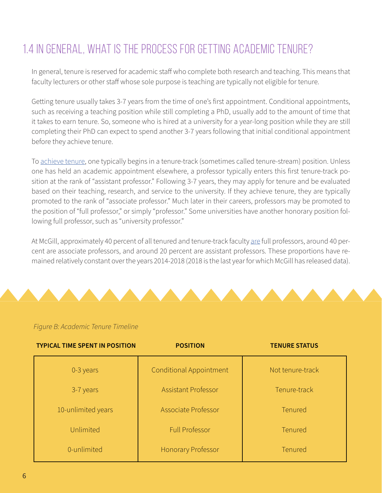### 1.4 In general, what is the process for getting academic tenure?

In general, tenure is reserved for academic staff who complete both research and teaching. This means that faculty lecturers or other staff whose sole purpose is teaching are typically not eligible for tenure.

Getting tenure usually takes 3-7 years from the time of one's first appointment. Conditional appointments, such as receiving a teaching position while still completing a PhD, usually add to the amount of time that it takes to earn tenure. So, someone who is hired at a university for a year-long position while they are still completing their PhD can expect to spend another 3-7 years following that initial conditional appointment before they achieve tenure.

To [achieve tenure](https://gov.viu.ca/sites/default/files/overviewoftppoliciesincanada.pdf), one typically begins in a tenure-track (sometimes called tenure-stream) position. Unless one has held an academic appointment elsewhere, a professor typically enters this first tenure-track position at the rank of "assistant professor." Following 3-7 years, they may apply for tenure and be evaluated based on their teaching, research, and service to the university. If they achieve tenure, they are typically promoted to the rank of "associate professor." Much later in their careers, professors may be promoted to the position of "full professor," or simply "professor." Some universities have another honorary position following full professor, such as "university professor."

At McGill, approximately 40 percent of all tenured and tenure-track faculty [are](https://mcgill.ca/senate/files/senate/9._d18-45_staffing_report.pdf) full professors, around 40 percent are associate professors, and around 20 percent are assistant professors. These proportions have remained relatively constant over the years 2014-2018 (2018 is the last year for which McGill has released data).

#### *Figure B: Academic Tenure Timeline*

| <b>TYPICAL TIME SPENT IN POSITION</b> | <b>POSITION</b>                | <b>TENURE STATUS</b> |
|---------------------------------------|--------------------------------|----------------------|
| 0-3 years                             | <b>Conditional Appointment</b> | Not tenure-track     |
| 3-7 years                             | <b>Assistant Professor</b>     | Tenure-track         |
| 10-unlimited years                    | Associate Professor            | Tenured              |
| Unlimited                             | <b>Full Professor</b>          | Tenured              |
| 0-unlimited                           | Honorary Professor             | Tenured              |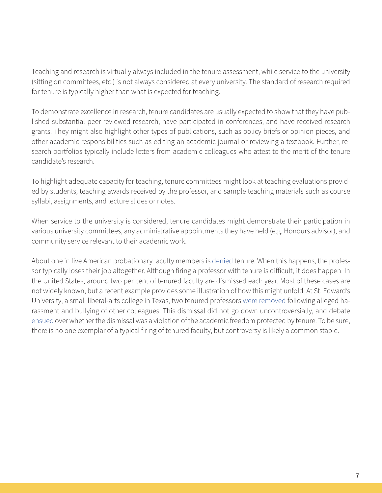Teaching and research is virtually always included in the tenure assessment, while service to the university (sitting on committees, etc.) is not always considered at every university. The standard of research required for tenure is typically higher than what is expected for teaching.

To demonstrate excellence in research, tenure candidates are usually expected to show that they have published substantial peer-reviewed research, have participated in conferences, and have received research grants. They might also highlight other types of publications, such as policy briefs or opinion pieces, and other academic responsibilities such as editing an academic journal or reviewing a textbook. Further, research portfolios typically include letters from academic colleagues who attest to the merit of the tenure candidate's research.

To highlight adequate capacity for teaching, tenure committees might look at teaching evaluations provided by students, teaching awards received by the professor, and sample teaching materials such as course syllabi, assignments, and lecture slides or notes.

When service to the university is considered, tenure candidates might demonstrate their participation in various university committees, any administrative appointments they have held (e.g. Honours advisor), and community service relevant to their academic work.

About one in five American probationary faculty members is [denied t](https://diversityinhighereducation.com/articles/The-Truth-About-Tenure-in-Higher-Education)enure. When this happens, the professor typically loses their job altogether. Although firing a professor with tenure is difficult, it does happen. In the United States, around two per cent of tenured faculty are dismissed each year. Most of these cases are not widely known, but a recent example provides some illustration of how this might unfold: At St. Edward's University, a small liberal-arts college in Texas, two tenured professors [were removed](https://www.chronicle.com/article/Why-2-Tenured-Faculty-Members/244897) following alleged harassment and bullying of other colleagues. This dismissal did not go down uncontroversially, and debate [ensued](https://www.chronicle.com/article/Why-2-Tenured-Faculty-Members/244897) over whether the dismissal was a violation of the academic freedom protected by tenure. To be sure, there is no one exemplar of a typical firing of tenured faculty, but controversy is likely a common staple.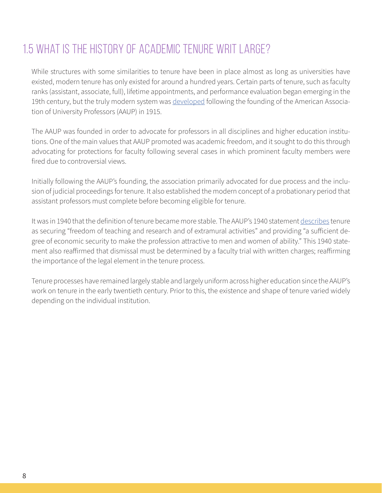### 1.5 What is the history of academic tenure writ large?

While structures with some similarities to tenure have been in place almost as long as universities have existed, modern tenure has only existed for around a hundred years. Certain parts of tenure, such as faculty ranks (assistant, associate, full), lifetime appointments, and performance evaluation began emerging in the 19th century, but the truly modern system was [developed](http://higheredprofessor.com/2018/04/23/history-of-tenure/) following the founding of the American Association of University Professors (AAUP) in 1915.

The AAUP was founded in order to advocate for professors in all disciplines and higher education institutions. One of the main values that AAUP promoted was academic freedom, and it sought to do this through advocating for protections for faculty following several cases in which prominent faculty members were fired due to controversial views.

Initially following the AAUP's founding, the association primarily advocated for due process and the inclusion of judicial proceedings for tenure. It also established the modern concept of a probationary period that assistant professors must complete before becoming eligible for tenure.

It was in 1940 that the definition of tenure became more stable. The AAUP's 1940 statement [describes](http://higheredprofessor.com/2018/04/23/history-of-tenure/) tenure as securing "freedom of teaching and research and of extramural activities" and providing "a sufficient degree of economic security to make the profession attractive to men and women of ability." This 1940 statement also reaffirmed that dismissal must be determined by a faculty trial with written charges; reaffirming the importance of the legal element in the tenure process.

Tenure processes have remained largely stable and largely uniform across higher education since the AAUP's work on tenure in the early twentieth century. Prior to this, the existence and shape of tenure varied widely depending on the individual institution.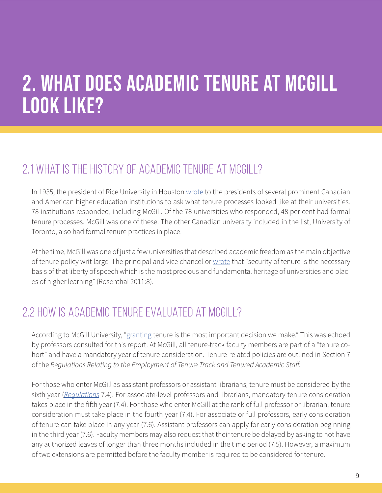### 2. What does academic tenure at McGill look like?

### 2.1 What is the history of academic tenure at McGill?

In 1935, the president of Rice University in Houston [wrote](https://www.aaup.org/sites/default/files/files/JAF/2011%20JAF/Rosenthal.pdf) to the presidents of several prominent Canadian and American higher education institutions to ask what tenure processes looked like at their universities. 78 institutions responded, including McGill. Of the 78 universities who responded, 48 per cent had formal tenure processes. McGill was one of these. The other Canadian university included in the list, University of Toronto, also had formal tenure practices in place.

At the time, McGill was one of just a few universities that described academic freedom as the main objective of tenure policy writ large. The principal and vice chancellor [wrote](https://www.aaup.org/sites/default/files/files/JAF/2011%20JAF/Rosenthal.pdf) that "security of tenure is the necessary basis of that liberty of speech which is the most precious and fundamental heritage of universities and places of higher learning" (Rosenthal 2011:8).

#### 2.2 How is academic tenure evaluated at McGill?

According to McGill University, ["granting](https://mcgill.ca/secretariat/files/secretariat/all_presentations_-_tenure_information_session_2019-2020.pdf) tenure is the most important decision we make." This was echoed by professors consulted for this report. At McGill, all tenure-track faculty members are part of a "tenure cohort" and have a mandatory year of tenure consideration. Tenure-related policies are outlined in Section 7 of the *Regulations Relating to the Employment of Tenure Track and Tenured Academic Staff.* 

For those who enter McGill as assistant professors or assistant librarians, tenure must be considered by the sixth year (*[Regulations](https://www.mcgill.ca/secretariat/files/secretariat/2011sep27academic-staff-regs-relating-to-employment-of.pdf)* 7.4). For associate-level professors and librarians, mandatory tenure consideration takes place in the fifth year (7.4). For those who enter McGill at the rank of full professor or librarian, tenure consideration must take place in the fourth year (7.4). For associate or full professors, early consideration of tenure can take place in any year (7.6). Assistant professors can apply for early consideration beginning in the third year (7.6). Faculty members may also request that their tenure be delayed by asking to not have any authorized leaves of longer than three months included in the time period (7.5). However, a maximum of two extensions are permitted before the faculty member is required to be considered for tenure.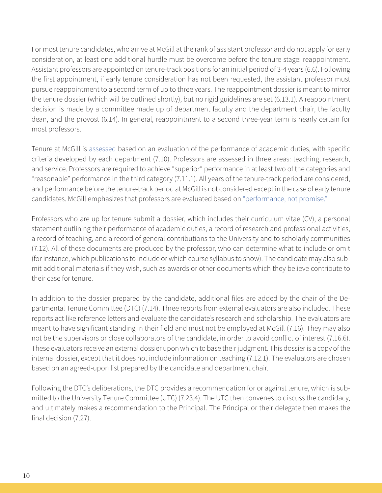For most tenure candidates, who arrive at McGill at the rank of assistant professor and do not apply for early consideration, at least one additional hurdle must be overcome before the tenure stage: reappointment. Assistant professors are appointed on tenure-track positions for an initial period of 3-4 years (6.6). Following the first appointment, if early tenure consideration has not been requested, the assistant professor must pursue reappointment to a second term of up to three years. The reappointment dossier is meant to mirror the tenure dossier (which will be outlined shortly), but no rigid guidelines are set (6.13.1). A reappointment decision is made by a committee made up of department faculty and the department chair, the faculty dean, and the provost (6.14). In general, reappointment to a second three-year term is nearly certain for most professors.

Tenure at McGill is [assessed b](https://mcgill.ca/secretariat/files/secretariat/all_presentations_-_tenure_information_session_2019-2020.pdf)ased on an evaluation of the performance of academic duties, with specific criteria developed by each department (7.10). Professors are assessed in three areas: teaching, research, and service. Professors are required to achieve "superior" performance in at least two of the categories and "reasonable" performance in the third category (7.11.1). All years of the tenure-track period are considered, and performance before the tenure-track period at McGill is not considered except in the case of early tenure candidates. McGill emphasizes that professors are evaluated based on "performance, not promise."

Professors who are up for tenure submit a dossier, which includes their curriculum vitae (CV), a personal statement outlining their performance of academic duties, a record of research and professional activities, a record of teaching, and a record of general contributions to the University and to scholarly communities (7.12). All of these documents are produced by the professor, who can determine what to include or omit (for instance, which publications to include or which course syllabus to show). The candidate may also submit additional materials if they wish, such as awards or other documents which they believe contribute to their case for tenure.

In addition to the dossier prepared by the candidate, additional files are added by the chair of the Departmental Tenure Committee (DTC) (7.14). Three reports from external evaluators are also included. These reports act like reference letters and evaluate the candidate's research and scholarship. The evaluators are meant to have significant standing in their field and must not be employed at McGill (7.16). They may also not be the supervisors or close collaborators of the candidate, in order to avoid conflict of interest (7.16.6). These evaluators receive an external dossier upon which to base their judgment. This dossier is a copy of the internal dossier, except that it does not include information on teaching (7.12.1). The evaluators are chosen based on an agreed-upon list prepared by the candidate and department chair.

Following the DTC's deliberations, the DTC provides a recommendation for or against tenure, which is submitted to the University Tenure Committee (UTC) (7.23.4). The UTC then convenes to discuss the candidacy, and ultimately makes a recommendation to the Principal. The Principal or their delegate then makes the final decision (7.27).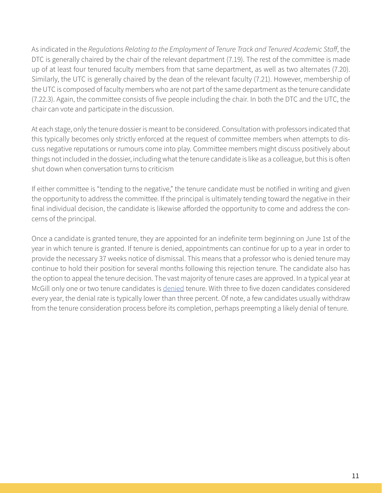As indicated in the *Regulations Relating to the Employment of Tenure Track and Tenured Academic Staff*, the DTC is generally chaired by the chair of the relevant department (7.19). The rest of the committee is made up of at least four tenured faculty members from that same department, as well as two alternates (7.20). Similarly, the UTC is generally chaired by the dean of the relevant faculty (7.21). However, membership of the UTC is composed of faculty members who are not part of the same department as the tenure candidate (7.22.3). Again, the committee consists of five people including the chair. In both the DTC and the UTC, the chair can vote and participate in the discussion.

At each stage, only the tenure dossier is meant to be considered. Consultation with professors indicated that this typically becomes only strictly enforced at the request of committee members when attempts to discuss negative reputations or rumours come into play. Committee members might discuss positively about things not included in the dossier, including what the tenure candidate is like as a colleague, but this is often shut down when conversation turns to criticism

If either committee is "tending to the negative," the tenure candidate must be notified in writing and given the opportunity to address the committee. If the principal is ultimately tending toward the negative in their final individual decision, the candidate is likewise afforded the opportunity to come and address the concerns of the principal.

Once a candidate is granted tenure, they are appointed for an indefinite term beginning on June 1st of the year in which tenure is granted. If tenure is denied, appointments can continue for up to a year in order to provide the necessary 37 weeks notice of dismissal. This means that a professor who is denied tenure may continue to hold their position for several months following this rejection tenure. The candidate also has the option to appeal the tenure decision. The vast majority of tenure cases are approved. In a typical year at McGill only one or two tenure candidates is [denied](https://www.mcgill.ca/maut/files/maut/tm_workshop_2019_-_online_presentation.pdf) tenure. With three to five dozen candidates considered every year, the denial rate is typically lower than three percent. Of note, a few candidates usually withdraw from the tenure consideration process before its completion, perhaps preempting a likely denial of tenure.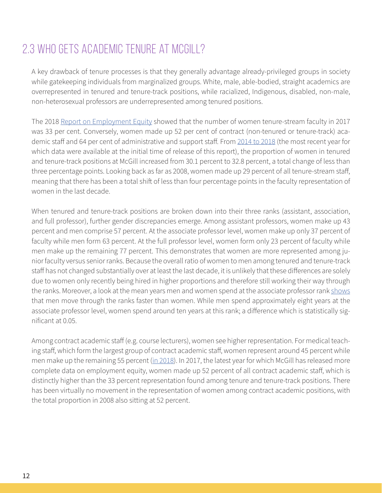#### 2.3 Who gets academic tenure at McGill?

A key drawback of tenure processes is that they generally advantage already-privileged groups in society while gatekeeping individuals from marginalized groups. White, male, able-bodied, straight academics are overrepresented in tenured and tenure-track positions, while racialized, Indigenous, disabled, non-male, non-heterosexual professors are underrepresented among tenured positions.

The 2018 [Report on Employment Equity](https://mcgill.ca/senate/files/senate/11._d16-66_report_on_employment_equity.pdf) showed that the number of women tenure-stream faculty in 2017 was 33 per cent. Conversely, women made up 52 per cent of contract (non-tenured or tenure-track) academic staff and 64 per cent of administrative and support staff. From [2014 to 2018](https://mcgill.ca/senate/files/senate/9._d18-45_staffing_report.pdf) (the most recent year for which data were available at the initial time of release of this report), the proportion of women in tenured and tenure-track positions at McGill increased from 30.1 percent to 32.8 percent, a total change of less than three percentage points. Looking back as far as 2008, women made up 29 percent of all tenure-stream staff, meaning that there has been a total shift of less than four percentage points in the faculty representation of women in the last decade.

When tenured and tenure-track positions are broken down into their three ranks (assistant, association, and full professor), further gender discrepancies emerge. Among assistant professors, women make up 43 percent and men comprise 57 percent. At the associate professor level, women make up only 37 percent of faculty while men form 63 percent. At the full professor level, women form only 23 percent of faculty while men make up the remaining 77 percent. This demonstrates that women are more represented among junior faculty versus senior ranks. Because the overall ratio of women to men among tenured and tenure-track staff has not changed substantially over at least the last decade, it is unlikely that these differences are solely due to women only recently being hired in higher proportions and therefore still working their way through the ranks. Moreover, a look at the mean years men and women spend at the associate professor rank [shows](https://mcgill.ca/senate/files/senate/11._d16-66_report_on_employment_equity.pdf) that men move through the ranks faster than women. While men spend approximately eight years at the associate professor level, women spend around ten years at this rank; a difference which is statistically significant at 0.05.

Among contract academic staff (e.g. course lecturers), women see higher representation. For medical teaching staff, which form the largest group of contract academic staff, women represent around 45 percent while men make up the remaining 55 percent [\(in 2018\)](https://mcgill.ca/senate/files/senate/9._d18-45_staffing_report.pdf). In 2017, the latest year for which McGill has released more complete data on employment equity, women made up 52 percent of all contract academic staff, which is distinctly higher than the 33 percent representation found among tenure and tenure-track positions. There has been virtually no movement in the representation of women among contract academic positions, with the total proportion in 2008 also sitting at 52 percent.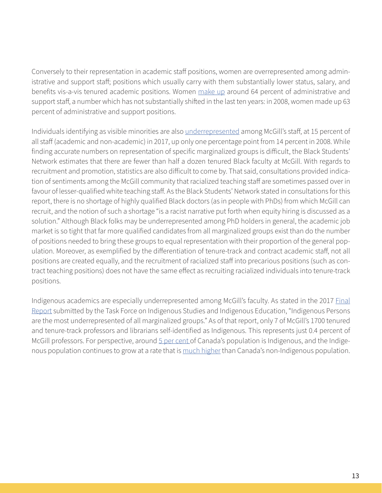Conversely to their representation in academic staff positions, women are overrepresented among administrative and support staff; positions which usually carry with them substantially lower status, salary, and benefits vis-a-vis tenured academic positions. Women [make up](https://mcgill.ca/senate/files/senate/9._d18-45_staffing_report.pdf) around 64 percent of administrative and support staff, a number which has not substantially shifted in the last ten years: in 2008, women made up 63 percent of administrative and support positions.

Individuals identifying as visible minorities are also [underrepresented](https://mcgill.ca/senate/files/senate/11._d16-66_report_on_employment_equity.pdf) among McGill's staff, at 15 percent of all staff (academic and non-academic) in 2017, up only one percentage point from 14 percent in 2008. While finding accurate numbers on representation of specific marginalized groups is difficult, the Black Students' Network estimates that there are fewer than half a dozen tenured Black faculty at McGill. With regards to recruitment and promotion, statistics are also difficult to come by. That said, consultations provided indication of sentiments among the McGill community that racialized teaching staff are sometimes passed over in favour of lesser-qualified white teaching staff. As the Black Students' Network stated in consultations for this report, there is no shortage of highly qualified Black doctors (as in people with PhDs) from which McGill can recruit, and the notion of such a shortage "is a racist narrative put forth when equity hiring is discussed as a solution." Although Black folks may be underrepresented among PhD holders in general, the academic job market is so tight that far more qualified candidates from all marginalized groups exist than do the number of positions needed to bring these groups to equal representation with their proportion of the general population. Moreover, as exemplified by the differentiation of tenure-track and contract academic staff, not all positions are created equally, and the recruitment of racialized staff into precarious positions (such as contract teaching positions) does not have the same effect as recruiting racialized individuals into tenure-track positions.

Indigenous academics are especially underrepresented among McGill's faculty. As stated in the 2017 [Final](https://www.mcgill.ca/equity_diversity/files/equity_diversity/final_report_of_the_provosts_task_force_on_indigenous_studies_and_indigenous_education_0.pdf) [Report](https://www.mcgill.ca/equity_diversity/files/equity_diversity/final_report_of_the_provosts_task_force_on_indigenous_studies_and_indigenous_education_0.pdf) submitted by the Task Force on Indigenous Studies and Indigenous Education, "Indigenous Persons are the most underrepresented of all marginalized groups." As of that report, only 7 of McGill's 1700 tenured and tenure-track professors and librarians self-identified as Indigenous. This represents just 0.4 percent of McGill professors. For perspective, around [5 per cent o](https://www.statcan.gc.ca/eng/dai/smr08/2018/smr08_225_2018)f Canada's population is Indigenous, and the Indigenous population continues to grow at a rate that is [much higher](https://www150.statcan.gc.ca/n1/daily-quotidien/171025/dq171025a-eng.htm) than Canada's non-Indigenous population.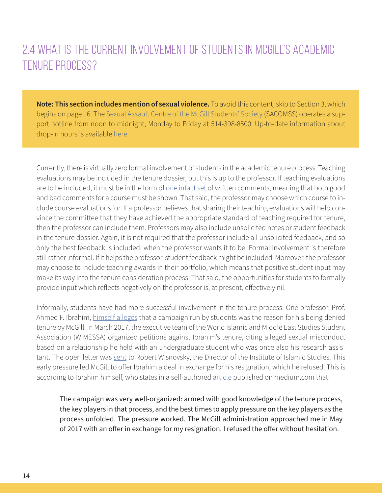#### 2.4 What is the current involvement of students in McGill's academic tenure process?

**Note: This section includes mention of sexual violence.** To avoid this content, skip to Section 3, which begins on page 16. The [Sexual Assault Centre of the McGill Students' Society](https://www.sacomss.org/wp/) (SACOMSS) operates a support hotline from noon to midnight, Monday to Friday at 514-398-8500. Up-to-date information about drop-in hours is available [here.](https://www.sacomss.org/wp/)

Currently, there is virtually zero formal involvement of students in the academic tenure process. Teaching evaluations may be included in the tenure dossier, but this is up to the professor. If teaching evaluations are to be included, it must be in the form of <u>one intact set</u> of written comments, meaning that both good and bad comments for a course must be shown. That said, the professor may choose which course to include course evaluations for. If a professor believes that sharing their teaching evaluations will help convince the committee that they have achieved the appropriate standard of teaching required for tenure, then the professor can include them. Professors may also include unsolicited notes or student feedback in the tenure dossier. Again, it is not required that the professor include all unsolicited feedback, and so only the best feedback is included, when the professor wants it to be. Formal involvement is therefore still rather informal. If it helps the professor, student feedback might be included. Moreover, the professor may choose to include teaching awards in their portfolio, which means that positive student input may make its way into the tenure consideration process. That said, the opportunities for students to formally provide input which reflects negatively on the professor is, at present, effectively nil.

Informally, students have had more successful involvement in the tenure process. One professor, Prof. Ahmed F. Ibrahim, [himself alleges](https://medium.com/@ahmedfekryibrahim/mobbed-race-and-gender-politics-on-campus-9c50f359ec0a) that a campaign run by students was the reason for his being denied tenure by McGill. In March 2017, the executive team of the World Islamic and Middle East Studies Student Association (WIMESSA) organized petitions against Ibrahim's tenure, citing alleged sexual misconduct based on a relationship he held with an undergraduate student who was once also his research assistant. The open letter was [sent](https://www.mcgilldaily.com/2017/10/mcgill-professor-accused-of-sexual-misconduct/) to Robert Wisnovsky, the Director of the Institute of Islamic Studies. This early pressure led McGill to offer Ibrahim a deal in exchange for his resignation, which he refused. This is according to Ibrahim himself, who states in a self-authored [article](https://medium.com/@ahmedfekryibrahim/mobbed-race-and-gender-politics-on-campus-9c50f359ec0a) published on medium.com that:

The campaign was very well-organized: armed with good knowledge of the tenure process, the key players in that process, and the best times to apply pressure on the key players as the process unfolded. The pressure worked. The McGill administration approached me in May of 2017 with an offer in exchange for my resignation. I refused the offer without hesitation.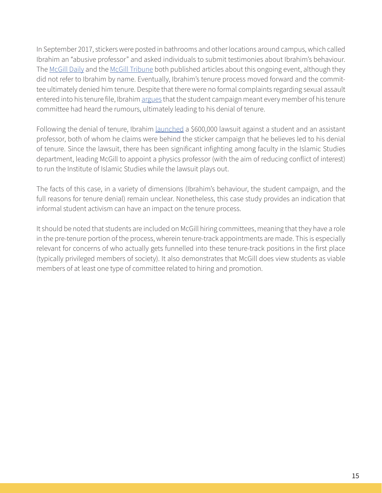In September 2017, stickers were posted in bathrooms and other locations around campus, which called Ibrahim an "abusive professor" and asked individuals to submit testimonies about Ibrahim's behaviour. The [McGill Daily](https://www.mcgilldaily.com/2017/10/mcgill-professor-accused-of-sexual-misconduct/) and the [McGill Tribune](http://www.mcgilltribune.com/news/open-letter-demands-external-investigation-on-faculty-sexual-misconduct-041118/) both published articles about this ongoing event, although they did not refer to Ibrahim by name. Eventually, Ibrahim's tenure process moved forward and the committee ultimately denied him tenure. Despite that there were no formal complaints regarding sexual assault entered into his tenure file, Ibrahim [argues](https://medium.com/@ahmedfekryibrahim/mobbed-race-and-gender-politics-on-campus-9c50f359ec0a) that the student campaign meant every member of his tenure committee had heard the rumours, ultimately leading to his denial of tenure.

Following the denial of tenure, Ibrahim *launched* a \$600,000 lawsuit against a student and an assistant professor, both of whom he claims were behind the sticker campaign that he believes led to his denial of tenure. Since the lawsuit, there has been significant infighting among faculty in the Islamic Studies department, leading McGill to appoint a physics professor (with the aim of reducing conflict of interest) to run the Institute of Islamic Studies while the lawsuit plays out.

The facts of this case, in a variety of dimensions (Ibrahim's behaviour, the student campaign, and the full reasons for tenure denial) remain unclear. Nonetheless, this case study provides an indication that informal student activism can have an impact on the tenure process.

It should be noted that students are included on McGill hiring committees, meaning that they have a role in the pre-tenure portion of the process, wherein tenure-track appointments are made. This is especially relevant for concerns of who actually gets funnelled into these tenure-track positions in the first place (typically privileged members of society). It also demonstrates that McGill does view students as viable members of at least one type of committee related to hiring and promotion.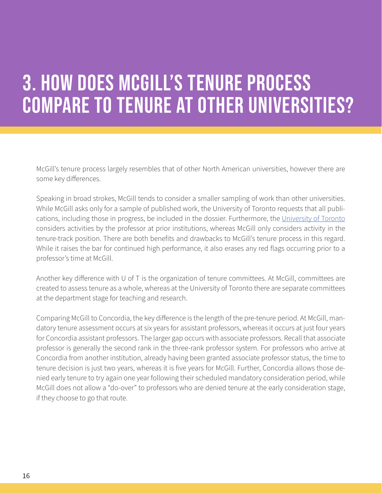## 3. How does McGill's tenure process compare to tenure at other universities?

McGill's tenure process largely resembles that of other North American universities, however there are some key differences.

Speaking in broad strokes, McGill tends to consider a smaller sampling of work than other universities. While McGill asks only for a sample of published work, the University of Toronto requests that all publications, including those in progress, be included in the dossier. Furthermore, the [University of Toronto](https://faculty.utoronto.ca/wp-content/uploads/2013/07/Information-on-Tenure-for-New-Faculty-Website-version.pdf) considers activities by the professor at prior institutions, whereas McGill only considers activity in the tenure-track position. There are both benefits and drawbacks to McGill's tenure process in this regard. While it raises the bar for continued high performance, it also erases any red flags occurring prior to a professor's time at McGill.

Another key difference with U of T is the organization of tenure committees. At McGill, committees are created to assess tenure as a whole, whereas at the University of Toronto there are separate committees at the department stage for teaching and research.

Comparing McGill to Concordia, the key difference is the length of the pre-tenure period. At McGill, mandatory tenure assessment occurs at six years for assistant professors, whereas it occurs at just four years for Concordia assistant professors. The larger gap occurs with associate professors. Recall that associate professor is generally the second rank in the three-rank professor system. For professors who arrive at Concordia from another institution, already having been granted associate professor status, the time to tenure decision is just two years, whereas it is five years for McGill. Further, Concordia allows those denied early tenure to try again one year following their scheduled mandatory consideration period, while McGill does not allow a "do-over" to professors who are denied tenure at the early consideration stage, if they choose to go that route.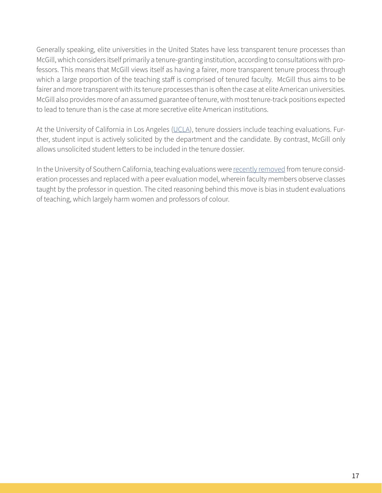Generally speaking, elite universities in the United States have less transparent tenure processes than McGill, which considers itself primarily a tenure-granting institution, according to consultations with professors. This means that McGill views itself as having a fairer, more transparent tenure process through which a large proportion of the teaching staff is comprised of tenured faculty. McGill thus aims to be fairer and more transparent with its tenure processes than is often the case at elite American universities. McGill also provides more of an assumed guarantee of tenure, with most tenure-track positions expected to lead to tenure than is the case at more secretive elite American institutions.

At the University of California in Los Angeles ([UCLA](http://www.college.ucla.edu/personnel/handbook/asst-prof_e.htm)), tenure dossiers include teaching evaluations. Further, student input is actively solicited by the department and the candidate. By contrast, McGill only allows unsolicited student letters to be included in the tenure dossier.

In the University of Southern California, teaching evaluations were [recently removed](https://www.insidehighered.com/news/2018/05/22/most-institutions-say-they-value-teaching-how-they-assess-it-tells-different-story) from tenure consideration processes and replaced with a peer evaluation model, wherein faculty members observe classes taught by the professor in question. The cited reasoning behind this move is bias in student evaluations of teaching, which largely harm women and professors of colour.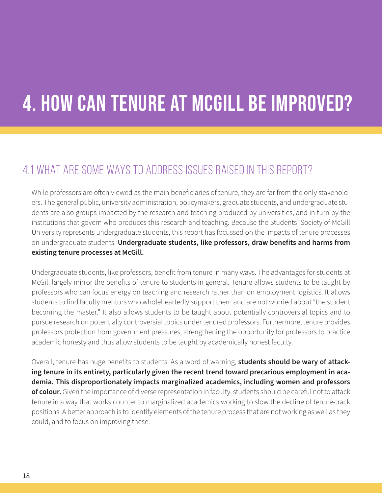# 4. How can tenure at McGill be improved?

#### 4.1 What are some ways to address issues raised in this report?

While professors are often viewed as the main beneficiaries of tenure, they are far from the only stakeholders. The general public, university administration, policymakers, graduate students, and undergraduate students are also groups impacted by the research and teaching produced by universities, and in turn by the institutions that govern who produces this research and teaching. Because the Students' Society of McGill University represents undergraduate students, this report has focussed on the impacts of tenure processes on undergraduate students. **Undergraduate students, like professors, draw benefits and harms from existing tenure processes at McGill.** 

Undergraduate students, like professors, benefit from tenure in many ways. The advantages for students at McGill largely mirror the benefits of tenure to students in general. Tenure allows students to be taught by professors who can focus energy on teaching and research rather than on employment logistics. It allows students to find faculty mentors who wholeheartedly support them and are not worried about "the student becoming the master." It also allows students to be taught about potentially controversial topics and to pursue research on potentially controversial topics under tenured professors. Furthermore, tenure provides professors protection from government pressures, strengthening the opportunity for professors to practice academic honesty and thus allow students to be taught by academically honest faculty.

Overall, tenure has huge benefits to students. As a word of warning, **students should be wary of attacking tenure in its entirety, particularly given the recent trend toward precarious employment in academia. This disproportionately impacts marginalized academics, including women and professors of colour.** Given the importance of diverse representation in faculty, students should be careful not to attack tenure in a way that works counter to marginalized academics working to slow the decline of tenure-track positions. A better approach is to identify elements of the tenure process that are not working as well as they could, and to focus on improving these.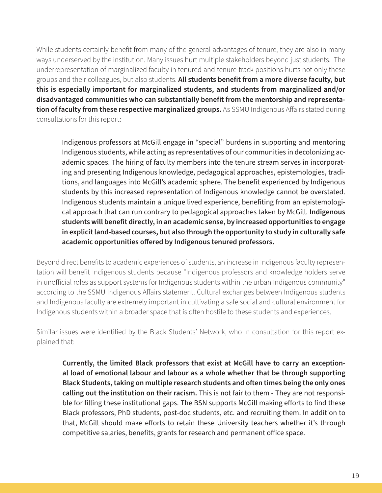While students certainly benefit from many of the general advantages of tenure, they are also in many ways underserved by the institution. Many issues hurt multiple stakeholders beyond just students. The underrepresentation of marginalized faculty in tenured and tenure-track positions hurts not only these groups and their colleagues, but also students. **All students benefit from a more diverse faculty, but this is especially important for marginalized students, and students from marginalized and/or disadvantaged communities who can substantially benefit from the mentorship and representa**tion of faculty from these respective marginalized groups. As SSMU Indigenous Affairs stated during consultations for this report:

Indigenous professors at McGill engage in "special" burdens in supporting and mentoring Indigenous students, while acting as representatives of our communities in decolonizing academic spaces. The hiring of faculty members into the tenure stream serves in incorporating and presenting Indigenous knowledge, pedagogical approaches, epistemologies, traditions, and languages into McGill's academic sphere. The benefit experienced by Indigenous students by this increased representation of Indigenous knowledge cannot be overstated. Indigenous students maintain a unique lived experience, benefiting from an epistemological approach that can run contrary to pedagogical approaches taken by McGill. **Indigenous students will benefit directly, in an academic sense, by increased opportunities to engage in explicit land-based courses, but also through the opportunity to study in culturally safe academic opportunities offered by Indigenous tenured professors.** 

Beyond direct benefits to academic experiences of students, an increase in Indigenous faculty representation will benefit Indigenous students because "Indigenous professors and knowledge holders serve in unofficial roles as support systems for Indigenous students within the urban Indigenous community" according to the SSMU Indigenous Affairs statement. Cultural exchanges between Indigenous students and Indigenous faculty are extremely important in cultivating a safe social and cultural environment for Indigenous students within a broader space that is often hostile to these students and experiences.

Similar issues were identified by the Black Students' Network, who in consultation for this report explained that:

**Currently, the limited Black professors that exist at McGill have to carry an exceptional load of emotional labour and labour as a whole whether that be through supporting Black Students, taking on multiple research students and often times being the only ones calling out the institution on their racism.** This is not fair to them - They are not responsible for filling these institutional gaps. The BSN supports McGill making efforts to find these Black professors, PhD students, post-doc students, etc. and recruiting them. In addition to that, McGill should make efforts to retain these University teachers whether it's through competitive salaries, benefits, grants for research and permanent office space.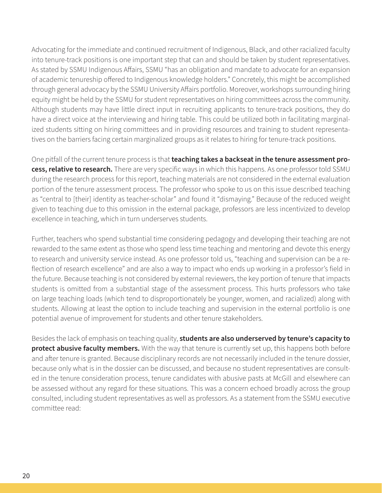Advocating for the immediate and continued recruitment of Indigenous, Black, and other racialized faculty into tenure-track positions is one important step that can and should be taken by student representatives. As stated by SSMU Indigenous Affairs, SSMU "has an obligation and mandate to advocate for an expansion of academic tenureship offered to Indigenous knowledge holders." Concretely, this might be accomplished through general advocacy by the SSMU University Affairs portfolio. Moreover, workshops surrounding hiring equity might be held by the SSMU for student representatives on hiring committees across the community. Although students may have little direct input in recruiting applicants to tenure-track positions, they do have a direct voice at the interviewing and hiring table. This could be utilized both in facilitating marginalized students sitting on hiring committees and in providing resources and training to student representatives on the barriers facing certain marginalized groups as it relates to hiring for tenure-track positions.

One pitfall of the current tenure process is that **teaching takes a backseat in the tenure assessment process, relative to research.** There are very specific ways in which this happens. As one professor told SSMU during the research process for this report, teaching materials are not considered in the external evaluation portion of the tenure assessment process. The professor who spoke to us on this issue described teaching as "central to [their] identity as teacher-scholar" and found it "dismaying." Because of the reduced weight given to teaching due to this omission in the external package, professors are less incentivized to develop excellence in teaching, which in turn underserves students.

Further, teachers who spend substantial time considering pedagogy and developing their teaching are not rewarded to the same extent as those who spend less time teaching and mentoring and devote this energy to research and university service instead. As one professor told us, "teaching and supervision can be a reflection of research excellence" and are also a way to impact who ends up working in a professor's field in the future. Because teaching is not considered by external reviewers, the key portion of tenure that impacts students is omitted from a substantial stage of the assessment process. This hurts professors who take on large teaching loads (which tend to disproportionately be younger, women, and racialized) along with students. Allowing at least the option to include teaching and supervision in the external portfolio is one potential avenue of improvement for students and other tenure stakeholders.

Besides the lack of emphasis on teaching quality, **students are also underserved by tenure's capacity to protect abusive faculty members.** With the way that tenure is currently set up, this happens both before and after tenure is granted. Because disciplinary records are not necessarily included in the tenure dossier, because only what is in the dossier can be discussed, and because no student representatives are consulted in the tenure consideration process, tenure candidates with abusive pasts at McGill and elsewhere can be assessed without any regard for these situations. This was a concern echoed broadly across the group consulted, including student representatives as well as professors. As a statement from the SSMU executive committee read: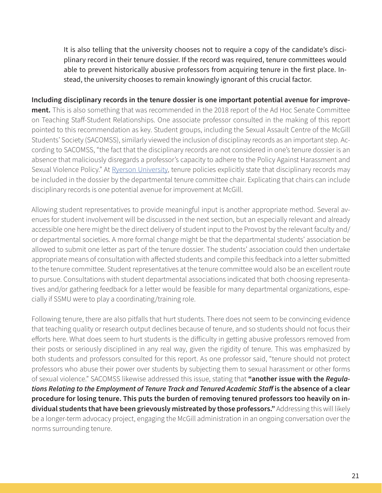It is also telling that the university chooses not to require a copy of the candidate's disciplinary record in their tenure dossier. If the record was required, tenure committees would able to prevent historically abusive professors from acquiring tenure in the first place. Instead, the university chooses to remain knowingly ignorant of this crucial factor.

**Including disciplinary records in the tenure dossier is one important potential avenue for improvement.** This is also something that was recommended in the 2018 report of the Ad Hoc Senate Committee on Teaching Staff-Student Relationships. One associate professor consulted in the making of this report pointed to this recommendation as key. Student groups, including the Sexual Assault Centre of the McGill Students' Society (SACOMSS), similarly viewed the inclusion of disciplinay records as an important step. According to SACOMSS, "the fact that the disciplinary records are not considered in one's tenure dossier is an absence that maliciously disregards a professor's capacity to adhere to the Policy Against Harassment and Sexual Violence Policy." At [Ryerson University,](https://www.ryerson.ca/content/dam/faculty-affairs/guides/Updated-Guide-for-Pre-tenure-Members-NTR-March-2019.pdf) tenure policies explicitly state that disciplinary records may be included in the dossier by the departmental tenure committee chair. Explicating that chairs can include disciplinary records is one potential avenue for improvement at McGill.

Allowing student representatives to provide meaningful input is another appropriate method. Several avenues for student involvement will be discussed in the next section, but an especially relevant and already accessible one here might be the direct delivery of student input to the Provost by the relevant faculty and/ or departmental societies. A more formal change might be that the departmental students' association be allowed to submit one letter as part of the tenure dossier. The students' association could then undertake appropriate means of consultation with affected students and compile this feedback into a letter submitted to the tenure committee. Student representatives at the tenure committee would also be an excellent route to pursue. Consultations with student departmental associations indicated that both choosing representatives and/or gathering feedback for a letter would be feasible for many departmental organizations, especially if SSMU were to play a coordinating/training role.

Following tenure, there are also pitfalls that hurt students. There does not seem to be convincing evidence that teaching quality or research output declines because of tenure, and so students should not focus their efforts here. What does seem to hurt students is the difficulty in getting abusive professors removed from their posts or seriously disciplined in any real way, given the rigidity of tenure. This was emphasized by both students and professors consulted for this report. As one professor said, "tenure should not protect professors who abuse their power over students by subjecting them to sexual harassment or other forms of sexual violence." SACOMSS likewise addressed this issue, stating that **"another issue with the** *Regulations Relating to the Employment of Tenure Track and Tenured Academic Staff* **is the absence of a clear procedure for losing tenure. This puts the burden of removing tenured professors too heavily on individual students that have been grievously mistreated by those professors."** Addressing this will likely be a longer-term advocacy project, engaging the McGill administration in an ongoing conversation over the norms surrounding tenure.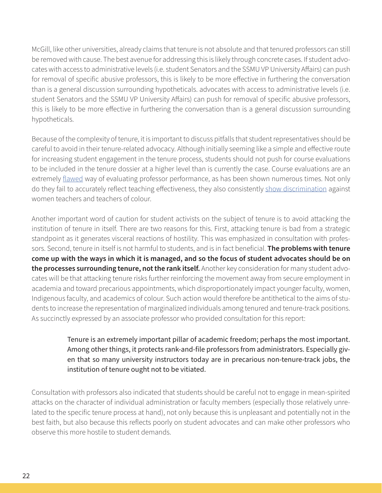McGill, like other universities, already claims that tenure is not absolute and that tenured professors can still be removed with cause. The best avenue for addressing this is likely through concrete cases. If student advocates with access to administrative levels (i.e. student Senators and the SSMU VP University Affairs) can push for removal of specific abusive professors, this is likely to be more effective in furthering the conversation than is a general discussion surrounding hypotheticals. advocates with access to administrative levels (i.e. student Senators and the SSMU VP University Affairs) can push for removal of specific abusive professors, this is likely to be more effective in furthering the conversation than is a general discussion surrounding hypotheticals.

Because of the complexity of tenure, it is important to discuss pitfalls that student representatives should be careful to avoid in their tenure-related advocacy. Although initially seeming like a simple and effective route for increasing student engagement in the tenure process, students should not push for course evaluations to be included in the tenure dossier at a higher level than is currently the case. Course evaluations are an extremely [flawed](https://www.aaup.org/article/student-evaluations-teaching-are-not-valid#.XdYO3jJKjOR) way of evaluating professor performance, as has been shown numerous times. Not only do they fail to accurately reflect teaching effectiveness, they also consistently [show discrimination](https://www.scienceopen.com/document?id=25ff22be-8a1b-4c97-9d88-084c8d98187a) against women teachers and teachers of colour.

Another important word of caution for student activists on the subject of tenure is to avoid attacking the institution of tenure in itself. There are two reasons for this. First, attacking tenure is bad from a strategic standpoint as it generates visceral reactions of hostility. This was emphasized in consultation with professors. Second, tenure in itself is not harmful to students, and is in fact beneficial. **The problems with tenure come up with the ways in which it is managed, and so the focus of student advocates should be on the processes surrounding tenure, not the rank itself.** Another key consideration for many student advocates will be that attacking tenure risks further reinforcing the movement away from secure employment in academia and toward precarious appointments, which disproportionately impact younger faculty, women, Indigenous faculty, and academics of colour. Such action would therefore be antithetical to the aims of students to increase the representation of marginalized individuals among tenured and tenure-track positions. As succinctly expressed by an associate professor who provided consultation for this report:

> Tenure is an extremely important pillar of academic freedom; perhaps the most important. Among other things, it protects rank-and-file professors from administrators. Especially given that so many university instructors today are in precarious non-tenure-track jobs, the institution of tenure ought not to be vitiated.

Consultation with professors also indicated that students should be careful not to engage in mean-spirited attacks on the character of individual administration or faculty members (especially those relatively unrelated to the specific tenure process at hand), not only because this is unpleasant and potentially not in the best faith, but also because this reflects poorly on student advocates and can make other professors who observe this more hostile to student demands.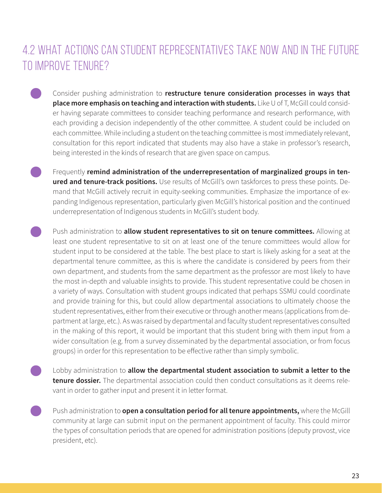### 4.2 What actions can student representatives take now and in the future to improve tenure?

- Consider pushing administration to **restructure tenure consideration processes in ways that place more emphasis on teaching and interaction with students.** Like U of T, McGill could consider having separate committees to consider teaching performance and research performance, with each providing a decision independently of the other committee. A student could be included on each committee. While including a student on the teaching committee is most immediately relevant, consultation for this report indicated that students may also have a stake in professor's research, being interested in the kinds of research that are given space on campus.
- Frequently **remind administration of the underrepresentation of marginalized groups in tenured and tenure-track positions.** Use results of McGill's own taskforces to press these points. Demand that McGill actively recruit in equity-seeking communities. Emphasize the importance of expanding Indigenous representation, particularly given McGill's historical position and the continued underrepresentation of Indigenous students in McGill's student body.
- Push administration to **allow student representatives to sit on tenure committees.** Allowing at least one student representative to sit on at least one of the tenure committees would allow for student input to be considered at the table. The best place to start is likely asking for a seat at the departmental tenure committee, as this is where the candidate is considered by peers from their own department, and students from the same department as the professor are most likely to have the most in-depth and valuable insights to provide. This student representative could be chosen in a variety of ways. Consultation with student groups indicated that perhaps SSMU could coordinate and provide training for this, but could allow departmental associations to ultimately choose the student representatives, either from their executive or through another means (applications from department at large, etc.). As was raised by departmental and faculty student representatives consulted in the making of this report, it would be important that this student bring with them input from a wider consultation (e.g. from a survey disseminated by the departmental association, or from focus groups) in order for this representation to be effective rather than simply symbolic.
- Lobby administration to **allow the departmental student association to submit a letter to the tenure dossier.** The departmental association could then conduct consultations as it deems relevant in order to gather input and present it in letter format.
	- Push administration to **open a consultation period for all tenure appointments,** where the McGill community at large can submit input on the permanent appointment of faculty. This could mirror the types of consultation periods that are opened for administration positions (deputy provost, vice president, etc).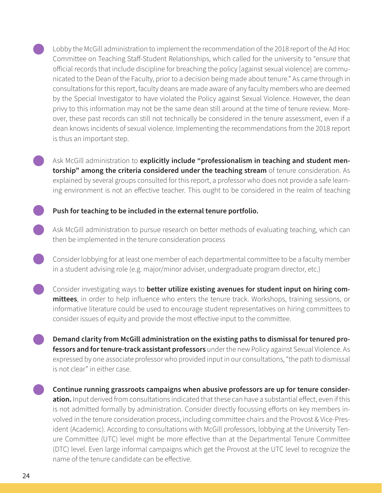Lobby the McGill administration to implement the recommendation of the 2018 report of the Ad Hoc Committee on Teaching Staff-Student Relationships, which called for the university to "ensure that official records that include discipline for breaching the policy [against sexual violence] are communicated to the Dean of the Faculty, prior to a decision being made about tenure." As came through in consultations for this report, faculty deans are made aware of any faculty members who are deemed by the Special Investigator to have violated the Policy against Sexual Violence. However, the dean privy to this information may not be the same dean still around at the time of tenure review. Moreover, these past records can still not technically be considered in the tenure assessment, even if a dean knows incidents of sexual violence. Implementing the recommendations from the 2018 report is thus an important step.

Ask McGill administration to **explicitly include "professionalism in teaching and student mentorship" among the criteria considered under the teaching stream** of tenure consideration. As explained by several groups consulted for this report, a professor who does not provide a safe learning environment is not an effective teacher. This ought to be considered in the realm of teaching

#### **Push for teaching to be included in the external tenure portfolio.**

- Ask McGill administration to pursue research on better methods of evaluating teaching, which can then be implemented in the tenure consideration process
- Consider lobbying for at least one member of each departmental committee to be a faculty member in a student advising role (e.g. major/minor adviser, undergraduate program director, etc.)
- Consider investigating ways to **better utilize existing avenues for student input on hiring committees**, in order to help influence who enters the tenure track. Workshops, training sessions, or informative literature could be used to encourage student representatives on hiring committees to consider issues of equity and provide the most effective input to the committee.
	- **Demand clarity from McGill administration on the existing paths to dismissal for tenured professors and for tenure-track assistant professors** under the new Policy against Sexual Violence. As expressed by one associate professor who provided input in our consultations, "the path to dismissal is not clear" in either case.
	- **Continue running grassroots campaigns when abusive professors are up for tenure consideration.** Input derived from consultations indicated that these can have a substantial effect, even if this is not admitted formally by administration. Consider directly focussing efforts on key members involved in the tenure consideration process, including committee chairs and the Provost & Vice-President (Academic). According to consultations with McGill professors, lobbying at the University Tenure Committee (UTC) level might be more effective than at the Departmental Tenure Committee (DTC) level. Even large informal campaigns which get the Provost at the UTC level to recognize the name of the tenure candidate can be effective.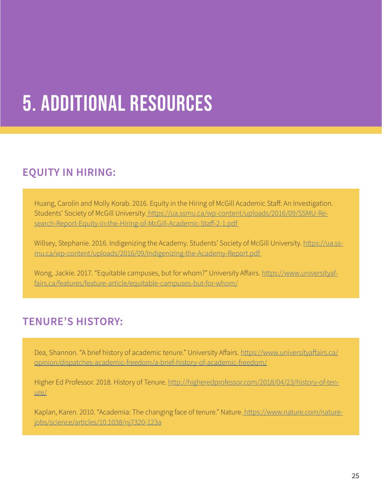# 5. Additional Resources

#### **EQUITY IN HIRING:**

Huang, Carolin and Molly Korab. 2016. Equity in the Hiring of McGill Academic Staff: An Investigation. Students' Society of McGill University. [https://ua.ssmu.ca/wp-content/uploads/2016/09/SSMU-Re](https://ua.ssmu.ca/wp-content/uploads/2016/09/SSMU-Research-Report-Equity-in-the-Hiring-of-McGill-Academic-Staff-2-1.pdf)[search-Report-Equity-in-the-Hiring-of-McGill-Academic-Staff-2-1.pdf](https://ua.ssmu.ca/wp-content/uploads/2016/09/SSMU-Research-Report-Equity-in-the-Hiring-of-McGill-Academic-Staff-2-1.pdf) 

Willsey, Stephanie. 2016. Indigenizing the Academy. Students' Society of McGill University. [https://ua.ss](https://ua.ssmu.ca/wp-content/uploads/2016/09/Indigenizing-the-Academy-Report.pdf  )[mu.ca/wp-content/uploads/2016/09/Indigenizing-the-Academy-Report.pdf](https://ua.ssmu.ca/wp-content/uploads/2016/09/Indigenizing-the-Academy-Report.pdf  ) 

Wong, Jackie. 2017. "Equitable campuses, but for whom?" University Affairs. [https://www.universityaf](https://www.universityaffairs.ca/features/feature-article/equitable-campuses-but-for-whom/ )[fairs.ca/features/feature-article/equitable-campuses-but-for-whom/](https://www.universityaffairs.ca/features/feature-article/equitable-campuses-but-for-whom/ )

#### **TENURE'S HISTORY:**

Dea, Shannon. "A brief history of academic tenure." University Affairs. [https://www.universityaffairs.ca/](https://www.universityaffairs.ca/opinion/dispatches-academic-freedom/a-brief-history-of-academic-freedom/) [opinion/dispatches-academic-freedom/a-brief-history-of-academic-freedom/](https://www.universityaffairs.ca/opinion/dispatches-academic-freedom/a-brief-history-of-academic-freedom/)

Higher Ed Professor. 2018. History of Tenure. [http://higheredprofessor.com/2018/04/23/history-of-ten](http://higheredprofessor.com/2018/04/23/history-of-tenure/ )[ure/](http://higheredprofessor.com/2018/04/23/history-of-tenure/ )

Kaplan, Karen. 2010. "Academia: The changing face of tenure." Nature[. https://www.nature.com/nature]( https://www.nature.com/naturejobs/science/articles/10.1038/nj7320-123a )[jobs/science/articles/10.1038/nj7320-123a]( https://www.nature.com/naturejobs/science/articles/10.1038/nj7320-123a )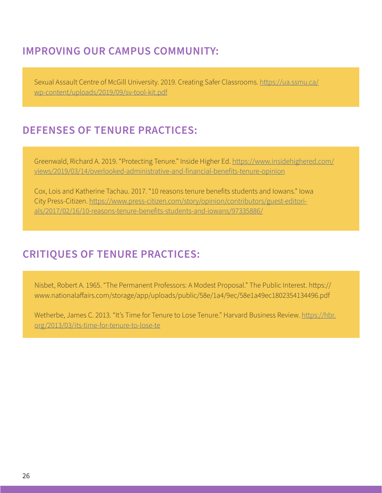#### **IMPROVING OUR CAMPUS COMMUNITY:**

Sexual Assault Centre of McGill University. 2019. Creating Safer Classrooms. [https://ua.ssmu.ca/](https://ua.ssmu.ca/wp-content/uploads/2019/09/sv-tool-kit.pdf ) [wp-content/uploads/2019/09/sv-tool-kit.pdf](https://ua.ssmu.ca/wp-content/uploads/2019/09/sv-tool-kit.pdf )

#### **DEFENSES OF TENURE PRACTICES:**

Greenwald, Richard A. 2019. "Protecting Tenure." Inside Higher Ed. [https://www.insidehighered.com/](https://www.insidehighered.com/views/2019/03/14/overlooked-administrative-and-financial-benefits-tenure-opinion ) [views/2019/03/14/overlooked-administrative-and-financial-benefits-tenure-opinion](https://www.insidehighered.com/views/2019/03/14/overlooked-administrative-and-financial-benefits-tenure-opinion )

Cox, Lois and Katherine Tachau. 2017. "10 reasons tenure benefits students and Iowans." Iowa City Press-Citizen. [https://www.press-citizen.com/story/opinion/contributors/guest-editori](https://www.press-citizen.com/story/opinion/contributors/guest-editorials/2017/02/16/10-reasons-tenure-benefits-students-and-iowans/97335886/ )[als/2017/02/16/10-reasons-tenure-benefits-students-and-iowans/97335886/](https://www.press-citizen.com/story/opinion/contributors/guest-editorials/2017/02/16/10-reasons-tenure-benefits-students-and-iowans/97335886/ )

#### **CRITIQUES OF TENURE PRACTICES:**

Nisbet, Robert A. 1965. "The Permanent Professors: A Modest Proposal." The Public Interest. https:// www.nationalaffairs.com/storage/app/uploads/public/58e/1a4/9ec/58e1a49ec1802354134496.pdf

Wetherbe, James C. 2013. "It's Time for Tenure to Lose Tenure." Harvard Business Review. [https://hbr.](https://hbr.org/2013/03/its-time-for-tenure-to-lose-te ) [org/2013/03/its-time-for-tenure-to-lose-te](https://hbr.org/2013/03/its-time-for-tenure-to-lose-te )